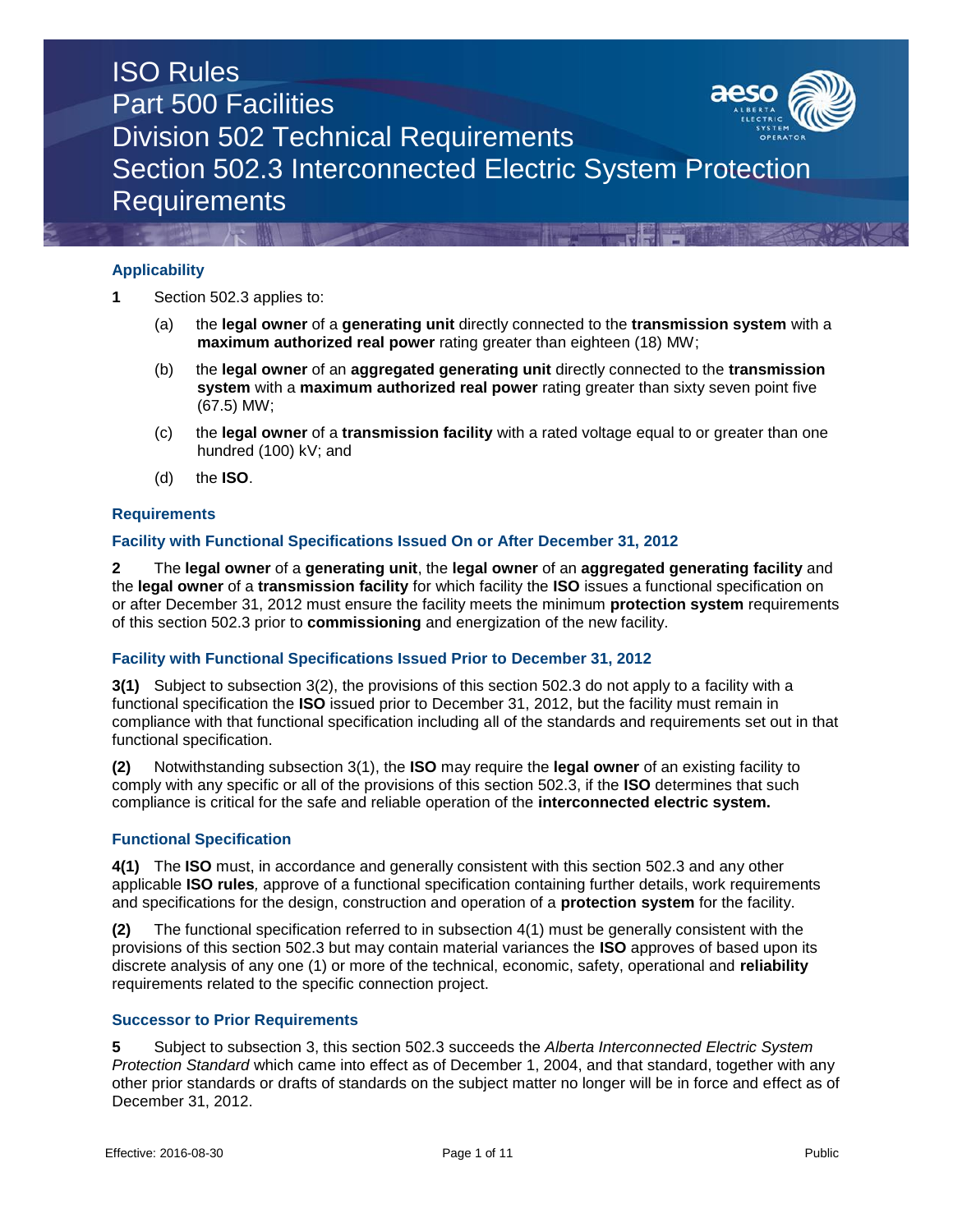

## **Applicability**

**1** Section 502.3 applies to:

- (a) the **legal owner** of a **generating unit** directly connected to the **transmission system** with a **maximum authorized real power** rating greater than eighteen (18) MW;
- (b) the **legal owner** of an **aggregated generating unit** directly connected to the **transmission system** with a **maximum authorized real power** rating greater than sixty seven point five (67.5) MW;
- (c) the **legal owner** of a **transmission facility** with a rated voltage equal to or greater than one hundred (100) kV; and
- (d) the **ISO**.

### **Requirements**

#### **Facility with Functional Specifications Issued On or After December 31, 2012**

**2** The **legal owner** of a **generating unit**, the **legal owner** of an **aggregated generating facility** and the **legal owner** of a **transmission facility** for which facility the **ISO** issues a functional specification on or after December 31, 2012 must ensure the facility meets the minimum **protection system** requirements of this section 502.3 prior to **commissioning** and energization of the new facility.

## **Facility with Functional Specifications Issued Prior to December 31, 2012**

**3(1)** Subject to subsection 3(2), the provisions of this section 502.3 do not apply to a facility with a functional specification the **ISO** issued prior to December 31, 2012, but the facility must remain in compliance with that functional specification including all of the standards and requirements set out in that functional specification.

**(2)** Notwithstanding subsection 3(1), the **ISO** may require the **legal owner** of an existing facility to comply with any specific or all of the provisions of this section 502.3, if the **ISO** determines that such compliance is critical for the safe and reliable operation of the **interconnected electric system.**

#### **Functional Specification**

**4(1)** The **ISO** must, in accordance and generally consistent with this section 502.3 and any other applicable **ISO rules***,* approve of a functional specification containing further details, work requirements and specifications for the design, construction and operation of a **protection system** for the facility.

**(2)** The functional specification referred to in subsection 4(1) must be generally consistent with the provisions of this section 502.3 but may contain material variances the **ISO** approves of based upon its discrete analysis of any one (1) or more of the technical, economic, safety, operational and **reliability** requirements related to the specific connection project.

#### **Successor to Prior Requirements**

**5** Subject to subsection 3, this section 502.3 succeeds the *Alberta Interconnected Electric System Protection Standard* which came into effect as of December 1, 2004, and that standard, together with any other prior standards or drafts of standards on the subject matter no longer will be in force and effect as of December 31, 2012.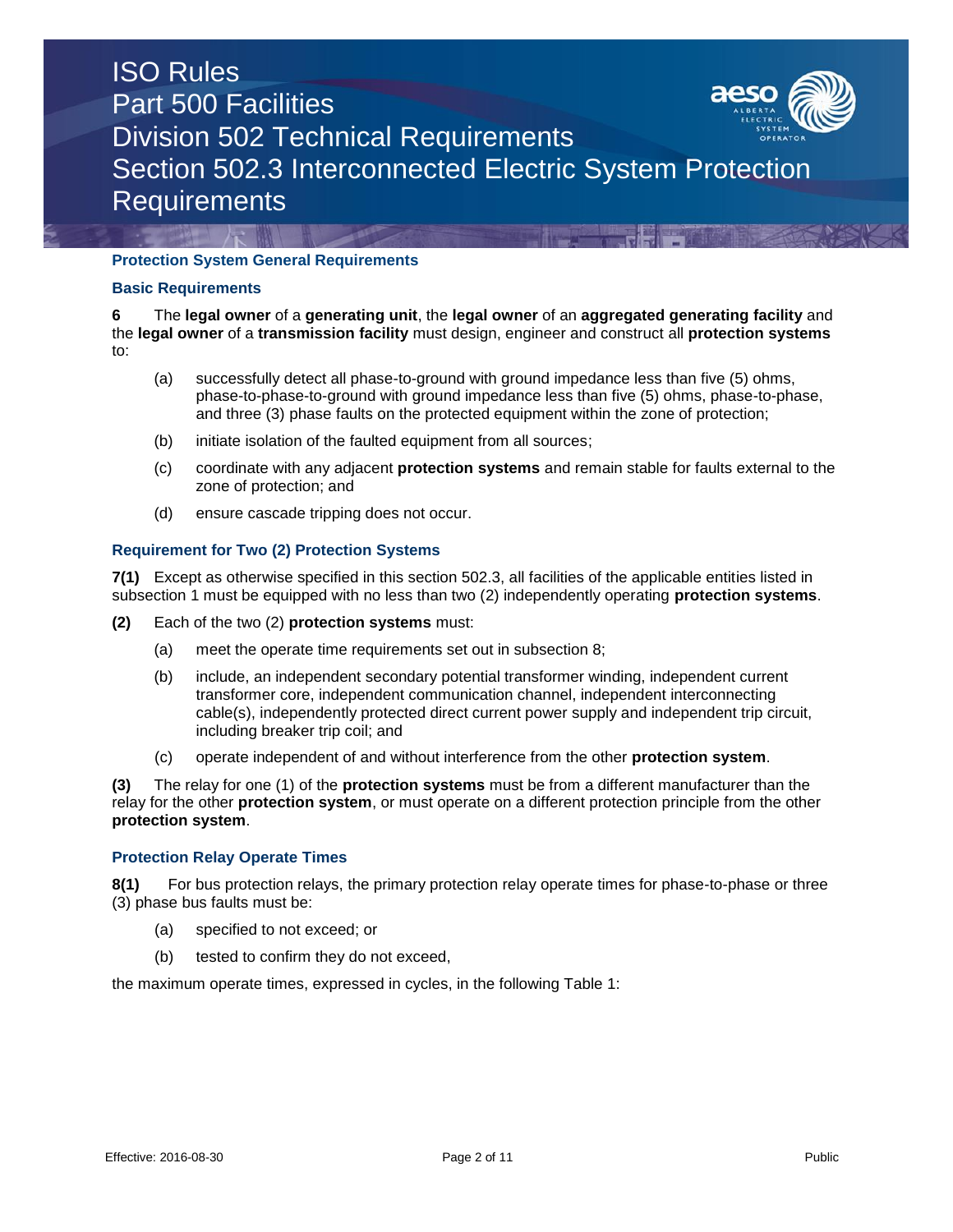

## **Protection System General Requirements**

## **Basic Requirements**

**6** The **legal owner** of a **generating unit**, the **legal owner** of an **aggregated generating facility** and the **legal owner** of a **transmission facility** must design, engineer and construct all **protection systems**  to:

- (a) successfully detect all phase-to-ground with ground impedance less than five (5) ohms, phase-to-phase-to-ground with ground impedance less than five (5) ohms, phase-to-phase, and three (3) phase faults on the protected equipment within the zone of protection;
- (b) initiate isolation of the faulted equipment from all sources;
- (c) coordinate with any adjacent **protection systems** and remain stable for faults external to the zone of protection; and
- (d) ensure cascade tripping does not occur.

## **Requirement for Two (2) Protection Systems**

**7(1)** Except as otherwise specified in this section 502.3, all facilities of the applicable entities listed in subsection 1 must be equipped with no less than two (2) independently operating **protection systems**.

- **(2)** Each of the two (2) **protection systems** must:
	- (a) meet the operate time requirements set out in subsection 8;
	- (b) include, an independent secondary potential transformer winding, independent current transformer core, independent communication channel, independent interconnecting cable(s), independently protected direct current power supply and independent trip circuit, including breaker trip coil; and
	- (c) operate independent of and without interference from the other **protection system**.

**(3)** The relay for one (1) of the **protection systems** must be from a different manufacturer than the relay for the other **protection system**, or must operate on a different protection principle from the other **protection system**.

## **Protection Relay Operate Times**

**8(1)** For bus protection relays, the primary protection relay operate times for phase-to-phase or three (3) phase bus faults must be:

- (a) specified to not exceed; or
- (b) tested to confirm they do not exceed,

the maximum operate times, expressed in cycles, in the following Table 1: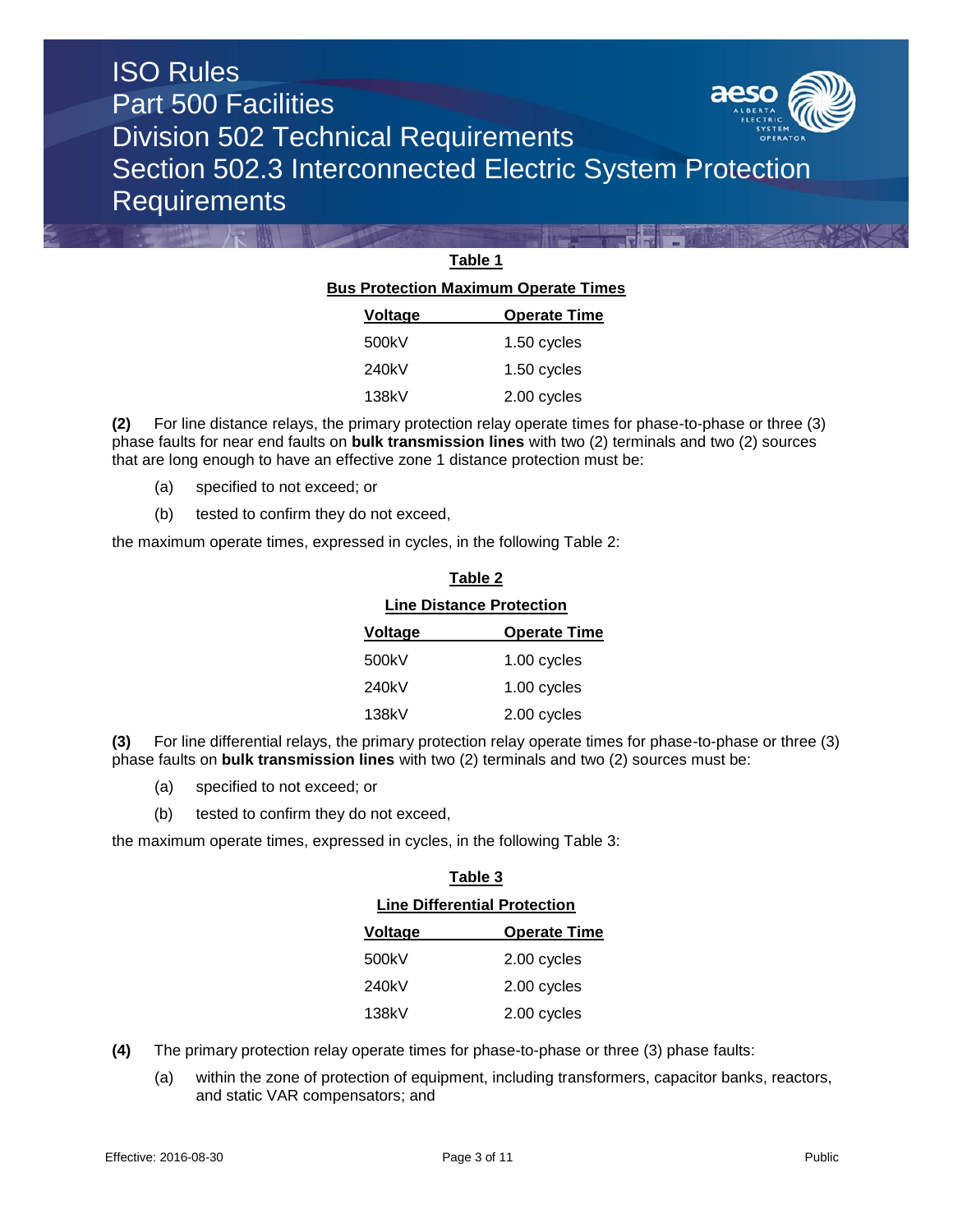

## **Table 1 Bus Protection Maximum Operate Times Voltage Operate Time**  $500k$

| 500KV | 1.50 CVCIES |
|-------|-------------|
| 240kV | 1.50 cycles |
| 138kV | 2.00 cycles |

**(2)** For line distance relays, the primary protection relay operate times for phase-to-phase or three (3) phase faults for near end faults on **bulk transmission lines** with two (2) terminals and two (2) sources that are long enough to have an effective zone 1 distance protection must be:

- (a) specified to not exceed; or
- (b) tested to confirm they do not exceed,

the maximum operate times, expressed in cycles, in the following Table 2:

| <b>Line Distance Protection</b> |                     |  |
|---------------------------------|---------------------|--|
| <b>Voltage</b>                  | <b>Operate Time</b> |  |
| 500kV                           | 1.00 cycles         |  |
| 240kV                           | 1.00 cycles         |  |
| 138kV                           | 2.00 cycles         |  |

**Table 2**

**(3)** For line differential relays, the primary protection relay operate times for phase-to-phase or three (3) phase faults on **bulk transmission lines** with two (2) terminals and two (2) sources must be:

- (a) specified to not exceed; or
- (b) tested to confirm they do not exceed,

the maximum operate times, expressed in cycles, in the following Table 3:

| Table 3                             |                     |  |
|-------------------------------------|---------------------|--|
| <b>Line Differential Protection</b> |                     |  |
| Voltage                             | <b>Operate Time</b> |  |
| 500kV                               | 2.00 cycles         |  |
| 240kV                               | 2.00 cycles         |  |
| 138kV                               | 2.00 cycles         |  |

- **(4)** The primary protection relay operate times for phase-to-phase or three (3) phase faults:
	- (a) within the zone of protection of equipment, including transformers, capacitor banks, reactors, and static VAR compensators; and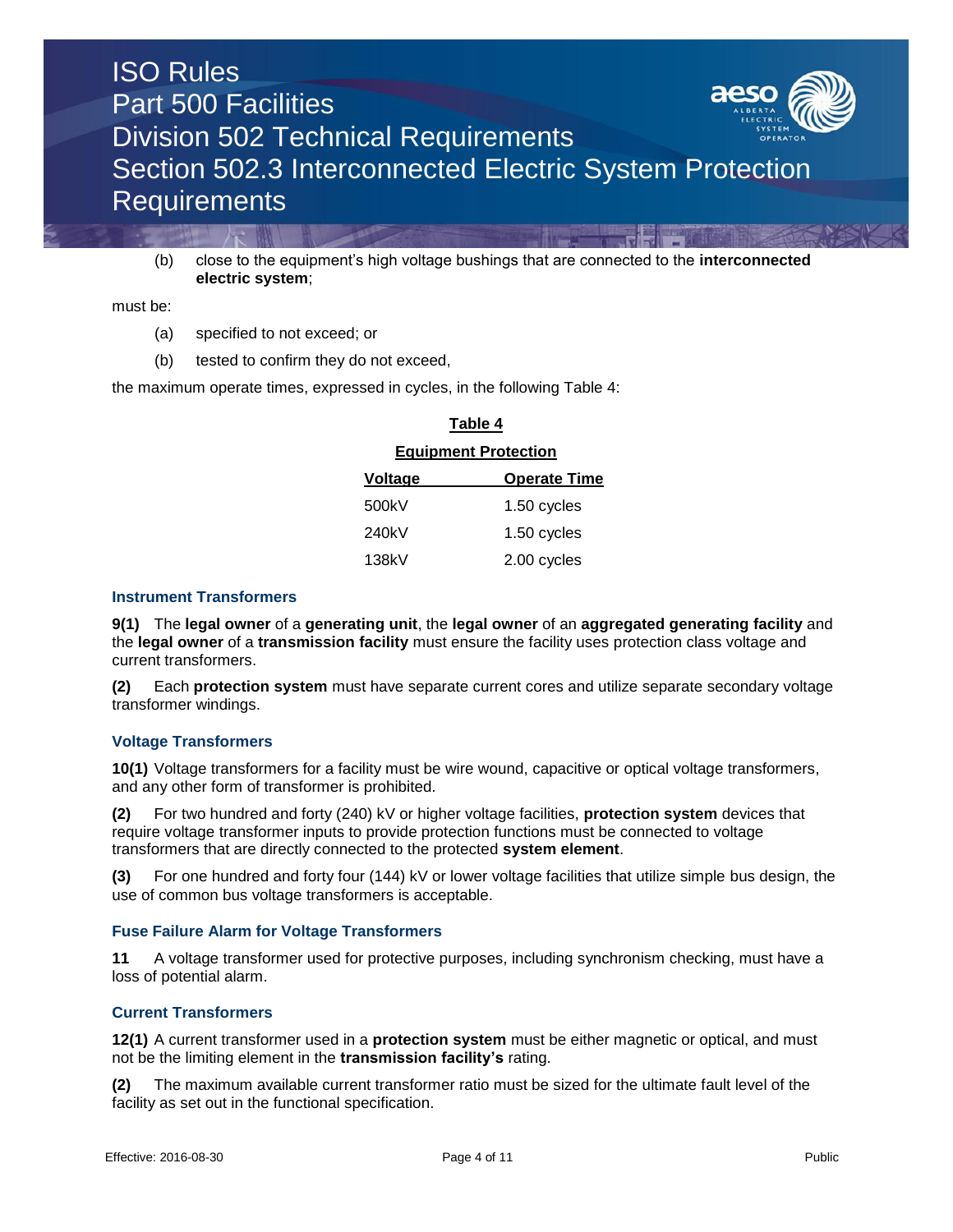

(b) close to the equipment's high voltage bushings that are connected to the **interconnected electric system**;

must be:

- (a) specified to not exceed; or
- (b) tested to confirm they do not exceed,

the maximum operate times, expressed in cycles, in the following Table 4:

## **Table 4 Equipment Protection Voltage Operate Time** 500kV 1.50 cycles 240kV 1.50 cycles 138kV 2.00 cycles

### **Instrument Transformers**

**9(1)** The **legal owner** of a **generating unit**, the **legal owner** of an **aggregated generating facility** and the **legal owner** of a **transmission facility** must ensure the facility uses protection class voltage and current transformers.

**(2)** Each **protection system** must have separate current cores and utilize separate secondary voltage transformer windings.

## **Voltage Transformers**

**10(1)** Voltage transformers for a facility must be wire wound, capacitive or optical voltage transformers, and any other form of transformer is prohibited.

**(2)** For two hundred and forty (240) kV or higher voltage facilities, **protection system** devices that require voltage transformer inputs to provide protection functions must be connected to voltage transformers that are directly connected to the protected **system element**.

**(3)** For one hundred and forty four (144) kV or lower voltage facilities that utilize simple bus design, the use of common bus voltage transformers is acceptable.

#### **Fuse Failure Alarm for Voltage Transformers**

**11** A voltage transformer used for protective purposes, including synchronism checking, must have a loss of potential alarm.

## **Current Transformers**

**12(1)** A current transformer used in a **protection system** must be either magnetic or optical, and must not be the limiting element in the **transmission facility's** rating.

**(2)** The maximum available current transformer ratio must be sized for the ultimate fault level of the facility as set out in the functional specification.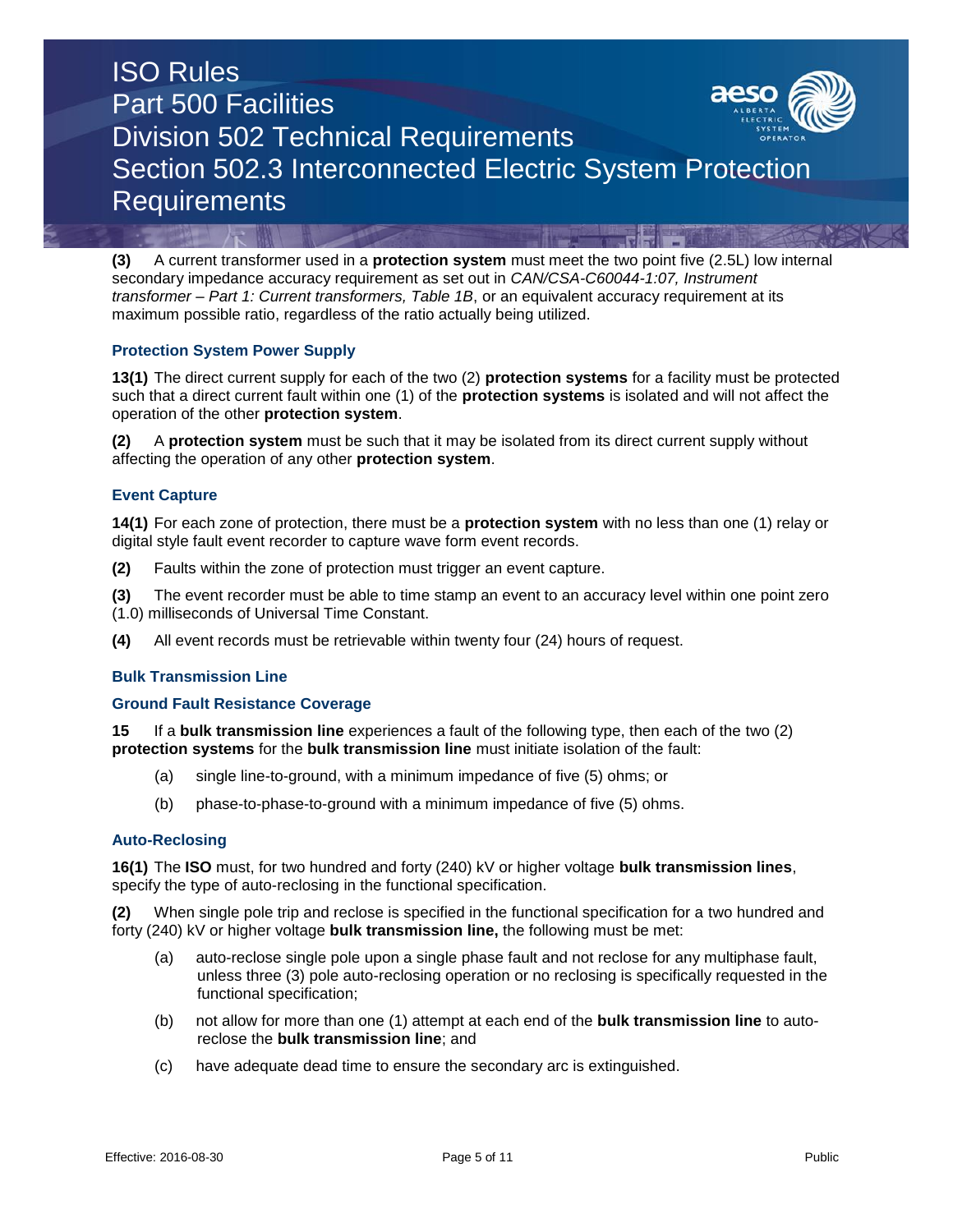**(3)** A current transformer used in a **protection system** must meet the two point five (2.5L) low internal secondary impedance accuracy requirement as set out in *CAN/CSA-C60044-1:07, Instrument transformer – Part 1: Current transformers, Table 1B*, or an equivalent accuracy requirement at its maximum possible ratio, regardless of the ratio actually being utilized.

## **Protection System Power Supply**

**13(1)** The direct current supply for each of the two (2) **protection systems** for a facility must be protected such that a direct current fault within one (1) of the **protection systems** is isolated and will not affect the operation of the other **protection system**.

**(2)** A **protection system** must be such that it may be isolated from its direct current supply without affecting the operation of any other **protection system**.

## **Event Capture**

**14(1)** For each zone of protection, there must be a **protection system** with no less than one (1) relay or digital style fault event recorder to capture wave form event records.

**(2)** Faults within the zone of protection must trigger an event capture.

**(3)** The event recorder must be able to time stamp an event to an accuracy level within one point zero (1.0) milliseconds of Universal Time Constant.

**(4)** All event records must be retrievable within twenty four (24) hours of request.

## **Bulk Transmission Line**

## **Ground Fault Resistance Coverage**

**15** If a **bulk transmission line** experiences a fault of the following type, then each of the two (2) **protection systems** for the **bulk transmission line** must initiate isolation of the fault:

- (a) single line-to-ground, with a minimum impedance of five (5) ohms; or
- (b) phase-to-phase-to-ground with a minimum impedance of five (5) ohms.

## **Auto-Reclosing**

**16(1)** The **ISO** must, for two hundred and forty (240) kV or higher voltage **bulk transmission lines**, specify the type of auto-reclosing in the functional specification.

**(2)** When single pole trip and reclose is specified in the functional specification for a two hundred and forty (240) kV or higher voltage **bulk transmission line,** the following must be met:

- (a) auto-reclose single pole upon a single phase fault and not reclose for any multiphase fault, unless three (3) pole auto-reclosing operation or no reclosing is specifically requested in the functional specification;
- (b) not allow for more than one (1) attempt at each end of the **bulk transmission line** to autoreclose the **bulk transmission line**; and
- (c) have adequate dead time to ensure the secondary arc is extinguished.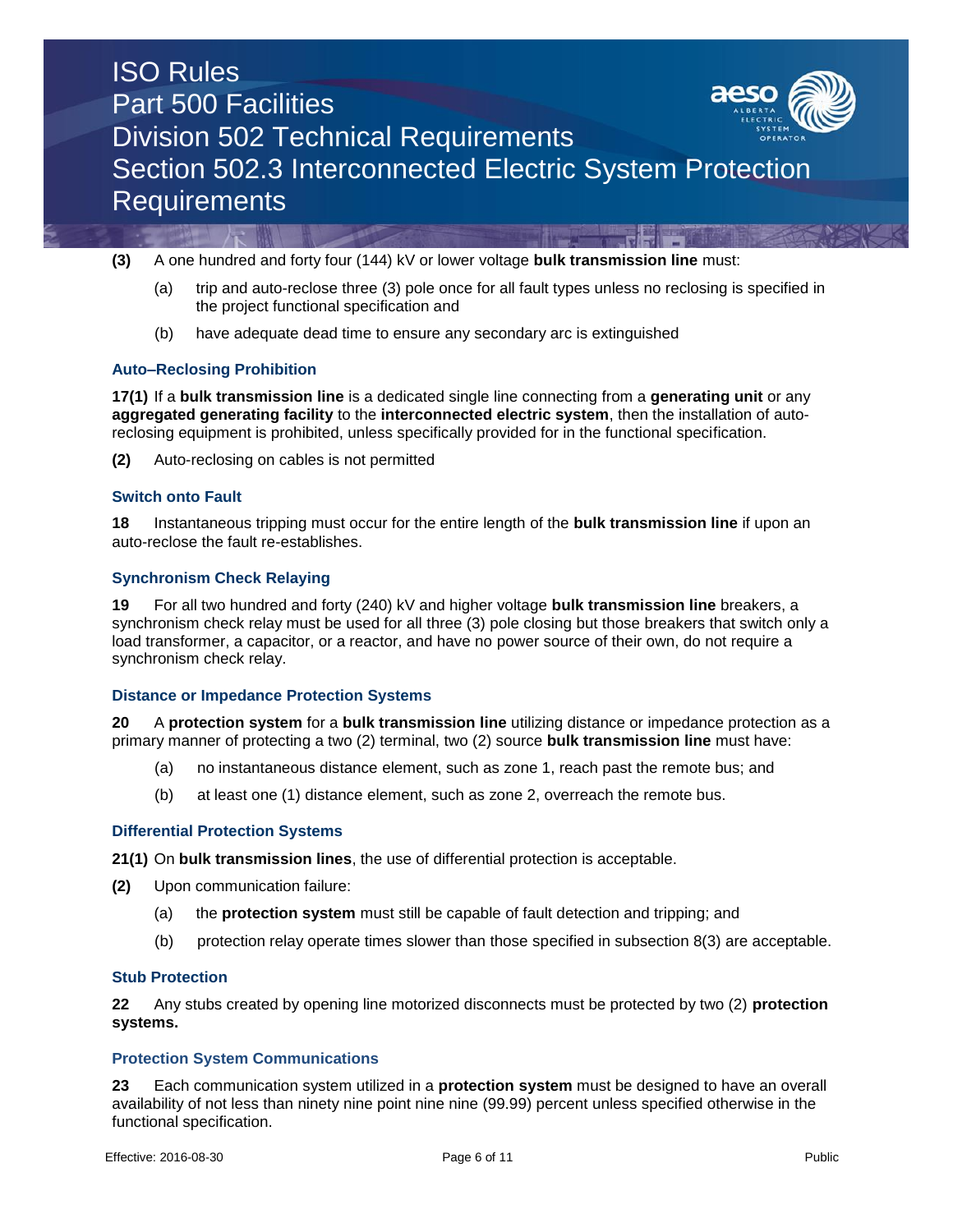

**(3)** A one hundred and forty four (144) kV or lower voltage **bulk transmission line** must:

- (a) trip and auto-reclose three (3) pole once for all fault types unless no reclosing is specified in the project functional specification and
- (b) have adequate dead time to ensure any secondary arc is extinguished

## **Auto–Reclosing Prohibition**

**17(1)** If a **bulk transmission line** is a dedicated single line connecting from a **generating unit** or any **aggregated generating facility** to the **interconnected electric system**, then the installation of autoreclosing equipment is prohibited, unless specifically provided for in the functional specification.

**(2)** Auto-reclosing on cables is not permitted

## **Switch onto Fault**

**18** Instantaneous tripping must occur for the entire length of the **bulk transmission line** if upon an auto-reclose the fault re-establishes.

## **Synchronism Check Relaying**

**19** For all two hundred and forty (240) kV and higher voltage **bulk transmission line** breakers, a synchronism check relay must be used for all three (3) pole closing but those breakers that switch only a load transformer, a capacitor, or a reactor, and have no power source of their own, do not require a synchronism check relay.

#### **Distance or Impedance Protection Systems**

**20** A **protection system** for a **bulk transmission line** utilizing distance or impedance protection as a primary manner of protecting a two (2) terminal, two (2) source **bulk transmission line** must have:

- (a) no instantaneous distance element, such as zone 1, reach past the remote bus; and
- (b) at least one (1) distance element, such as zone 2, overreach the remote bus.

## **Differential Protection Systems**

**21(1)** On **bulk transmission lines**, the use of differential protection is acceptable.

- **(2)** Upon communication failure:
	- (a) the **protection system** must still be capable of fault detection and tripping; and
	- (b) protection relay operate times slower than those specified in subsection 8(3) are acceptable.

#### **Stub Protection**

**22** Any stubs created by opening line motorized disconnects must be protected by two (2) **protection systems.**

#### **Protection System Communications**

**23** Each communication system utilized in a **protection system** must be designed to have an overall availability of not less than ninety nine point nine nine (99.99) percent unless specified otherwise in the functional specification.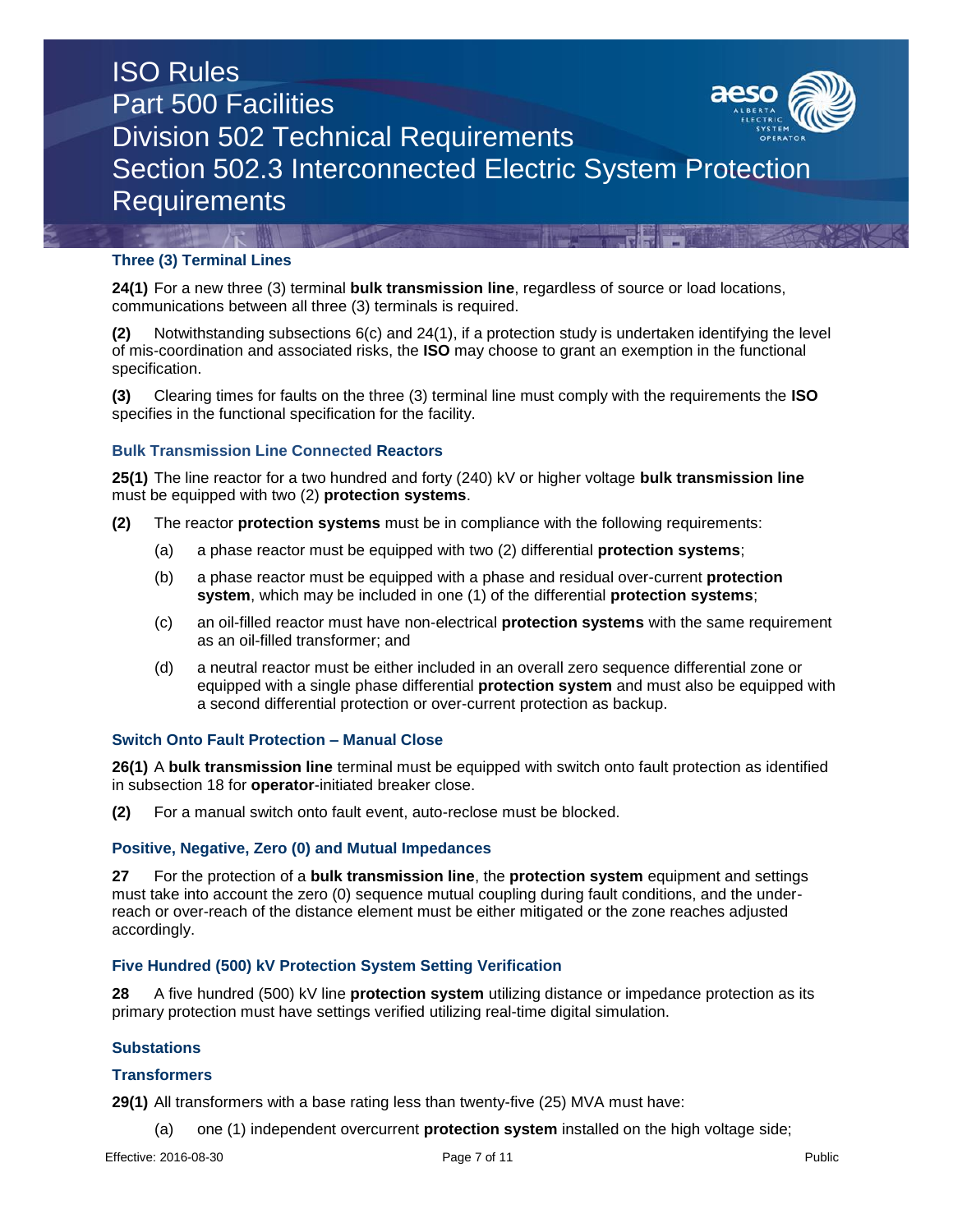

## **Three (3) Terminal Lines**

**24(1)** For a new three (3) terminal **bulk transmission line**, regardless of source or load locations, communications between all three (3) terminals is required.

**(2)** Notwithstanding subsections 6(c) and 24(1), if a protection study is undertaken identifying the level of mis-coordination and associated risks, the **ISO** may choose to grant an exemption in the functional specification.

**(3)** Clearing times for faults on the three (3) terminal line must comply with the requirements the **ISO** specifies in the functional specification for the facility.

## **Bulk Transmission Line Connected Reactors**

**25(1)** The line reactor for a two hundred and forty (240) kV or higher voltage **bulk transmission line** must be equipped with two (2) **protection systems**.

- **(2)** The reactor **protection systems** must be in compliance with the following requirements:
	- (a) a phase reactor must be equipped with two (2) differential **protection systems**;
	- (b) a phase reactor must be equipped with a phase and residual over-current **protection system**, which may be included in one (1) of the differential **protection systems**;
	- (c) an oil-filled reactor must have non-electrical **protection systems** with the same requirement as an oil-filled transformer; and
	- (d) a neutral reactor must be either included in an overall zero sequence differential zone or equipped with a single phase differential **protection system** and must also be equipped with a second differential protection or over-current protection as backup.

## **Switch Onto Fault Protection – Manual Close**

**26(1)** A **bulk transmission line** terminal must be equipped with switch onto fault protection as identified in subsection 18 for **operator**-initiated breaker close.

**(2)** For a manual switch onto fault event, auto-reclose must be blocked.

#### **Positive, Negative, Zero (0) and Mutual Impedances**

**27** For the protection of a **bulk transmission line**, the **protection system** equipment and settings must take into account the zero (0) sequence mutual coupling during fault conditions, and the underreach or over-reach of the distance element must be either mitigated or the zone reaches adjusted accordingly.

## **Five Hundred (500) kV Protection System Setting Verification**

**28** A five hundred (500) kV line **protection system** utilizing distance or impedance protection as its primary protection must have settings verified utilizing real-time digital simulation.

### **Substations**

#### **Transformers**

**29(1)** All transformers with a base rating less than twenty-five (25) MVA must have:

(a) one (1) independent overcurrent **protection system** installed on the high voltage side;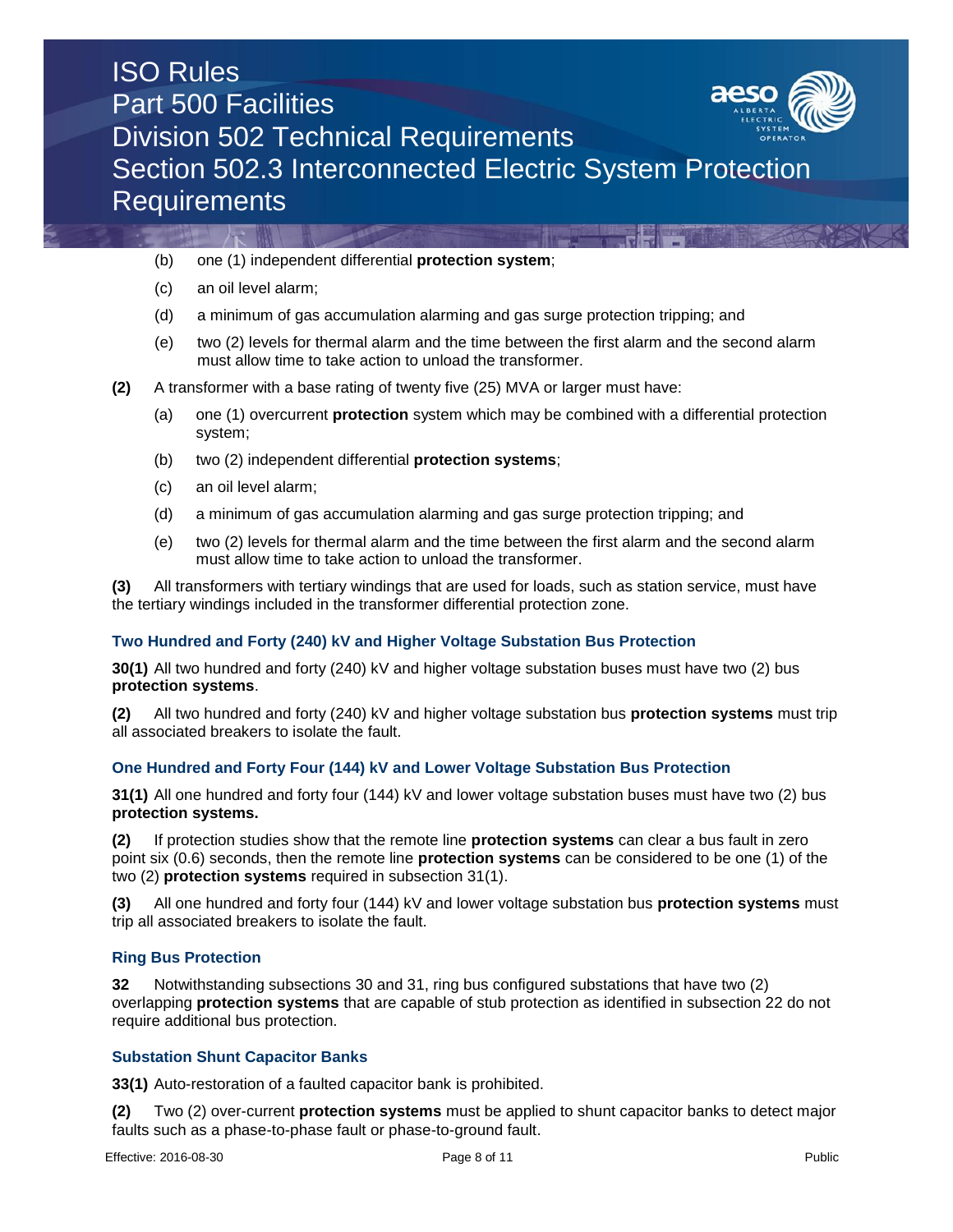

- (b) one (1) independent differential **protection system**;
- (c) an oil level alarm;
- (d) a minimum of gas accumulation alarming and gas surge protection tripping; and
- (e) two (2) levels for thermal alarm and the time between the first alarm and the second alarm must allow time to take action to unload the transformer.
- **(2)** A transformer with a base rating of twenty five (25) MVA or larger must have:
	- (a) one (1) overcurrent **protection** system which may be combined with a differential protection system;
	- (b) two (2) independent differential **protection systems**;
	- (c) an oil level alarm;
	- (d) a minimum of gas accumulation alarming and gas surge protection tripping; and
	- (e) two (2) levels for thermal alarm and the time between the first alarm and the second alarm must allow time to take action to unload the transformer.

**(3)** All transformers with tertiary windings that are used for loads, such as station service, must have the tertiary windings included in the transformer differential protection zone.

## **Two Hundred and Forty (240) kV and Higher Voltage Substation Bus Protection**

**30(1)** All two hundred and forty (240) kV and higher voltage substation buses must have two (2) bus **protection systems**.

**(2)** All two hundred and forty (240) kV and higher voltage substation bus **protection systems** must trip all associated breakers to isolate the fault.

## **One Hundred and Forty Four (144) kV and Lower Voltage Substation Bus Protection**

**31(1)** All one hundred and forty four (144) kV and lower voltage substation buses must have two (2) bus **protection systems.**

**(2)** If protection studies show that the remote line **protection systems** can clear a bus fault in zero point six (0.6) seconds, then the remote line **protection systems** can be considered to be one (1) of the two (2) **protection systems** required in subsection 31(1).

**(3)** All one hundred and forty four (144) kV and lower voltage substation bus **protection systems** must trip all associated breakers to isolate the fault.

## **Ring Bus Protection**

**32** Notwithstanding subsections 30 and 31, ring bus configured substations that have two (2) overlapping **protection systems** that are capable of stub protection as identified in subsection 22 do not require additional bus protection.

## **Substation Shunt Capacitor Banks**

**33(1)** Auto-restoration of a faulted capacitor bank is prohibited.

**(2)** Two (2) over-current **protection systems** must be applied to shunt capacitor banks to detect major faults such as a phase-to-phase fault or phase-to-ground fault.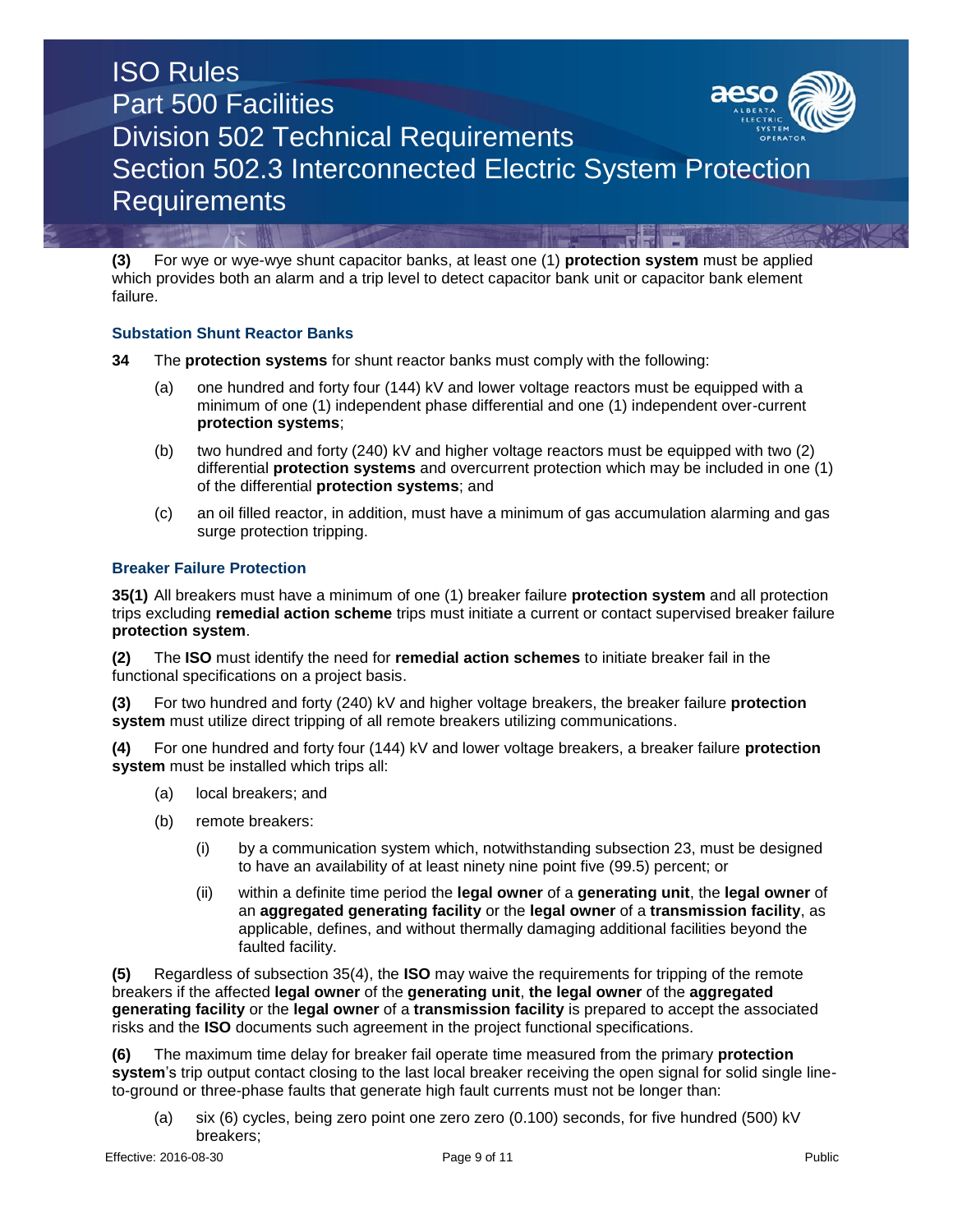**(3)** For wye or wye-wye shunt capacitor banks, at least one (1) **protection system** must be applied which provides both an alarm and a trip level to detect capacitor bank unit or capacitor bank element failure.

## **Substation Shunt Reactor Banks**

- **34** The **protection systems** for shunt reactor banks must comply with the following:
	- (a) one hundred and forty four (144) kV and lower voltage reactors must be equipped with a minimum of one (1) independent phase differential and one (1) independent over-current **protection systems**;
	- (b) two hundred and forty (240) kV and higher voltage reactors must be equipped with two (2) differential **protection systems** and overcurrent protection which may be included in one (1) of the differential **protection systems**; and
	- (c) an oil filled reactor, in addition, must have a minimum of gas accumulation alarming and gas surge protection tripping.

## **Breaker Failure Protection**

**35(1)** All breakers must have a minimum of one (1) breaker failure **protection system** and all protection trips excluding **remedial action scheme** trips must initiate a current or contact supervised breaker failure **protection system**.

**(2)** The **ISO** must identify the need for **remedial action schemes** to initiate breaker fail in the functional specifications on a project basis.

**(3)** For two hundred and forty (240) kV and higher voltage breakers, the breaker failure **protection system** must utilize direct tripping of all remote breakers utilizing communications.

**(4)** For one hundred and forty four (144) kV and lower voltage breakers, a breaker failure **protection system** must be installed which trips all:

- (a) local breakers; and
- (b) remote breakers:
	- (i) by a communication system which, notwithstanding subsection 23, must be designed to have an availability of at least ninety nine point five (99.5) percent; or
	- (ii) within a definite time period the **legal owner** of a **generating unit**, the **legal owner** of an **aggregated generating facility** or the **legal owner** of a **transmission facility**, as applicable, defines, and without thermally damaging additional facilities beyond the faulted facility.

**(5)** Regardless of subsection 35(4), the **ISO** may waive the requirements for tripping of the remote breakers if the affected **legal owner** of the **generating unit**, **the legal owner** of the **aggregated generating facility** or the **legal owner** of a **transmission facility** is prepared to accept the associated risks and the **ISO** documents such agreement in the project functional specifications.

**(6)** The maximum time delay for breaker fail operate time measured from the primary **protection system**'s trip output contact closing to the last local breaker receiving the open signal for solid single lineto-ground or three-phase faults that generate high fault currents must not be longer than:

(a) six (6) cycles, being zero point one zero zero (0.100) seconds, for five hundred (500) kV breakers;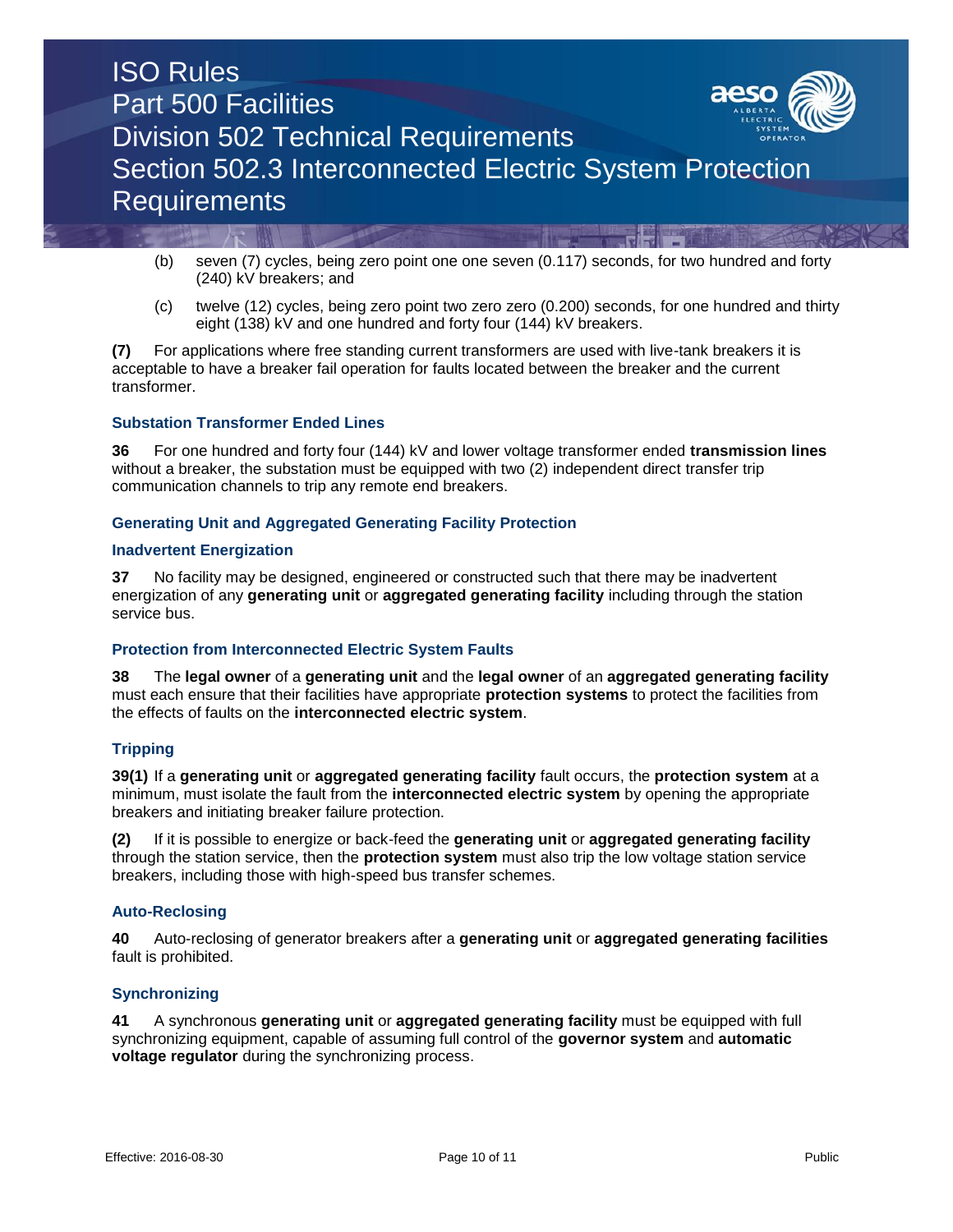

- (b) seven (7) cycles, being zero point one one seven (0.117) seconds, for two hundred and forty (240) kV breakers; and
- (c) twelve (12) cycles, being zero point two zero zero (0.200) seconds, for one hundred and thirty eight (138) kV and one hundred and forty four (144) kV breakers.

**(7)** For applications where free standing current transformers are used with live-tank breakers it is acceptable to have a breaker fail operation for faults located between the breaker and the current transformer.

### **Substation Transformer Ended Lines**

**36** For one hundred and forty four (144) kV and lower voltage transformer ended **transmission lines** without a breaker, the substation must be equipped with two (2) independent direct transfer trip communication channels to trip any remote end breakers.

### **Generating Unit and Aggregated Generating Facility Protection**

#### **Inadvertent Energization**

**37** No facility may be designed, engineered or constructed such that there may be inadvertent energization of any **generating unit** or **aggregated generating facility** including through the station service bus.

#### **Protection from Interconnected Electric System Faults**

**38** The **legal owner** of a **generating unit** and the **legal owner** of an **aggregated generating facility** must each ensure that their facilities have appropriate **protection systems** to protect the facilities from the effects of faults on the **interconnected electric system**.

#### **Tripping**

**39(1)** If a **generating unit** or **aggregated generating facility** fault occurs, the **protection system** at a minimum, must isolate the fault from the **interconnected electric system** by opening the appropriate breakers and initiating breaker failure protection.

**(2)** If it is possible to energize or back-feed the **generating unit** or **aggregated generating facility** through the station service, then the **protection system** must also trip the low voltage station service breakers, including those with high-speed bus transfer schemes.

#### **Auto-Reclosing**

**40** Auto-reclosing of generator breakers after a **generating unit** or **aggregated generating facilities** fault is prohibited.

#### **Synchronizing**

**41** A synchronous **generating unit** or **aggregated generating facility** must be equipped with full synchronizing equipment, capable of assuming full control of the **governor system** and **automatic voltage regulator** during the synchronizing process.